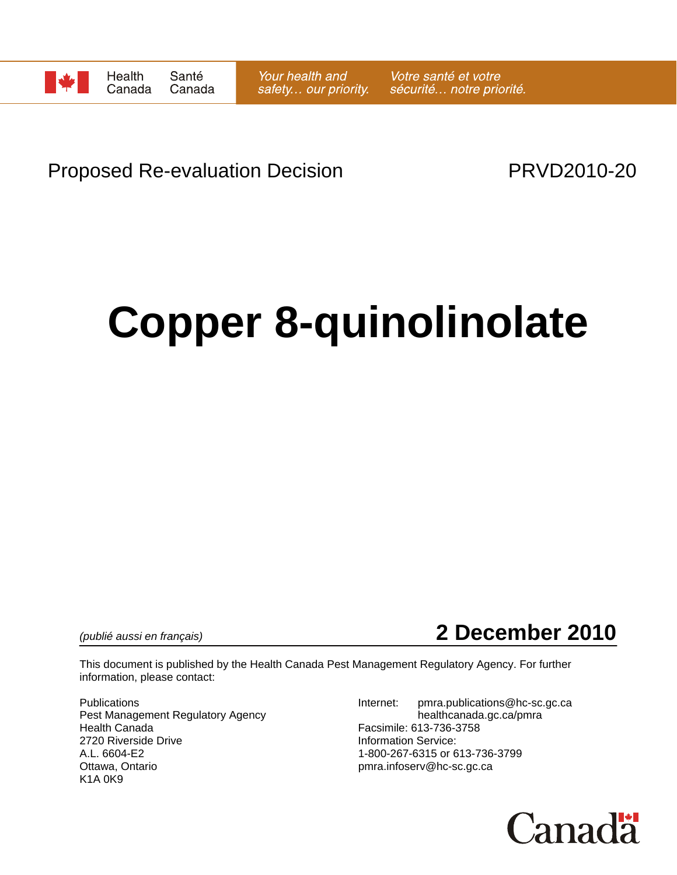

# Proposed Re-evaluation Decision **PRVD2010-20**

# **Copper 8-quinolinolate**

*(publié aussi en français)* **2 December 2010**

This document is published by the Health Canada Pest Management Regulatory Agency. For further information, please contact:

Pest Management Regulatory Agency healthcanada.gc.ca/pmra Health Canada Facsimile: 613-736-3758 2720 Riverside Drive **Information Service:**<br>A.L. 6604-E2 **Information Service:** 1-800-267-6315 or 6 A.L. 6604-E2 1-800-267-6315 or 613-736-3799<br>Ottawa, Ontario 11-800-267-6315 or 613-736-3799 K1A 0K9

Publications **Internet:** pmra.publications@hc-sc.gc.ca pmra.infoserv@hc-sc.gc.ca

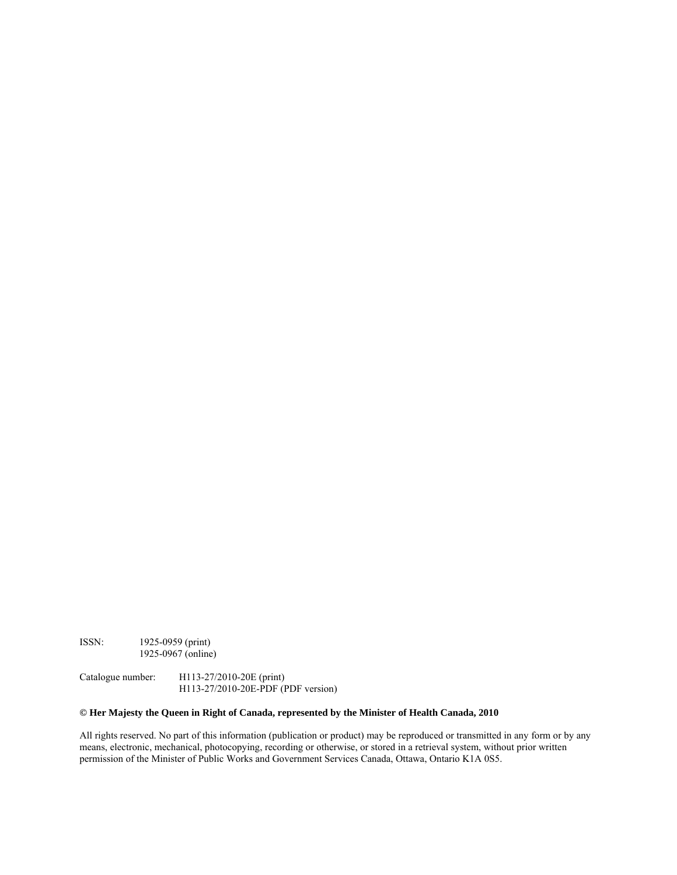ISSN: 1925-0959 (print) 1925-0967 (online)

Catalogue number: H113-27/2010-20E (print) H113-27/2010-20E-PDF (PDF version)

#### **© Her Majesty the Queen in Right of Canada, represented by the Minister of Health Canada, 2010**

All rights reserved. No part of this information (publication or product) may be reproduced or transmitted in any form or by any means, electronic, mechanical, photocopying, recording or otherwise, or stored in a retrieval system, without prior written permission of the Minister of Public Works and Government Services Canada, Ottawa, Ontario K1A 0S5.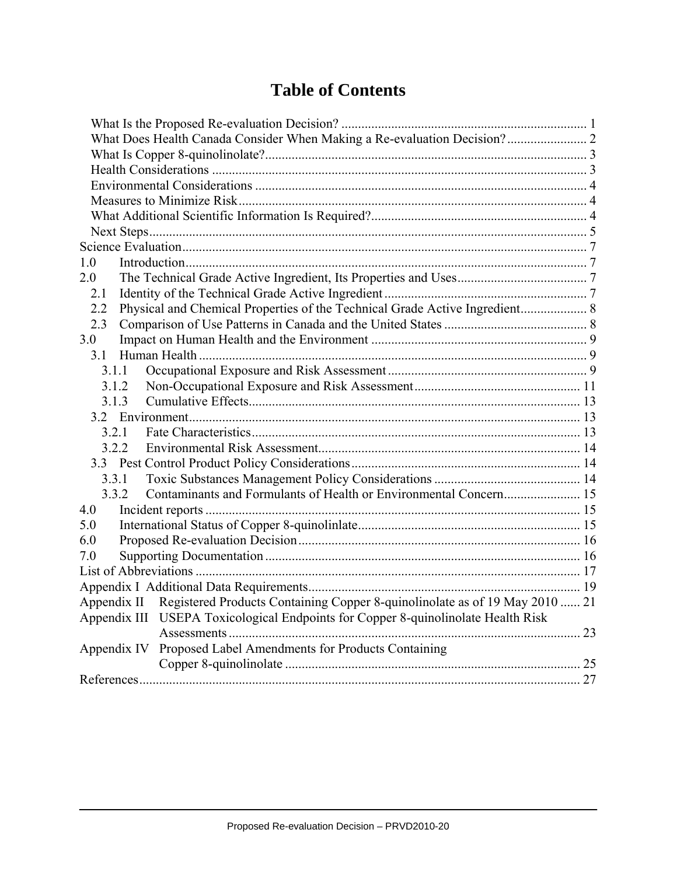# **Table of Contents**

| What Does Health Canada Consider When Making a Re-evaluation Decision? 2                |  |
|-----------------------------------------------------------------------------------------|--|
|                                                                                         |  |
|                                                                                         |  |
|                                                                                         |  |
|                                                                                         |  |
|                                                                                         |  |
|                                                                                         |  |
|                                                                                         |  |
| 1.0                                                                                     |  |
| 2.0                                                                                     |  |
| 2.1                                                                                     |  |
| Physical and Chemical Properties of the Technical Grade Active Ingredient 8<br>2.2      |  |
| 2.3                                                                                     |  |
| 3.0                                                                                     |  |
| 31                                                                                      |  |
| 3.1.1                                                                                   |  |
| 3.1.2                                                                                   |  |
| 3.1.3                                                                                   |  |
|                                                                                         |  |
| 3.2.1                                                                                   |  |
| 3.2.2                                                                                   |  |
|                                                                                         |  |
| 3.3.1                                                                                   |  |
| 3.3.2                                                                                   |  |
| 4.0                                                                                     |  |
| 5.0                                                                                     |  |
| 6.0                                                                                     |  |
| 7.0                                                                                     |  |
|                                                                                         |  |
|                                                                                         |  |
| Appendix II Registered Products Containing Copper 8-quinolinolate as of 19 May 2010  21 |  |
| Appendix III USEPA Toxicological Endpoints for Copper 8-quinolinolate Health Risk       |  |
|                                                                                         |  |
| Proposed Label Amendments for Products Containing<br>Appendix IV                        |  |
|                                                                                         |  |
|                                                                                         |  |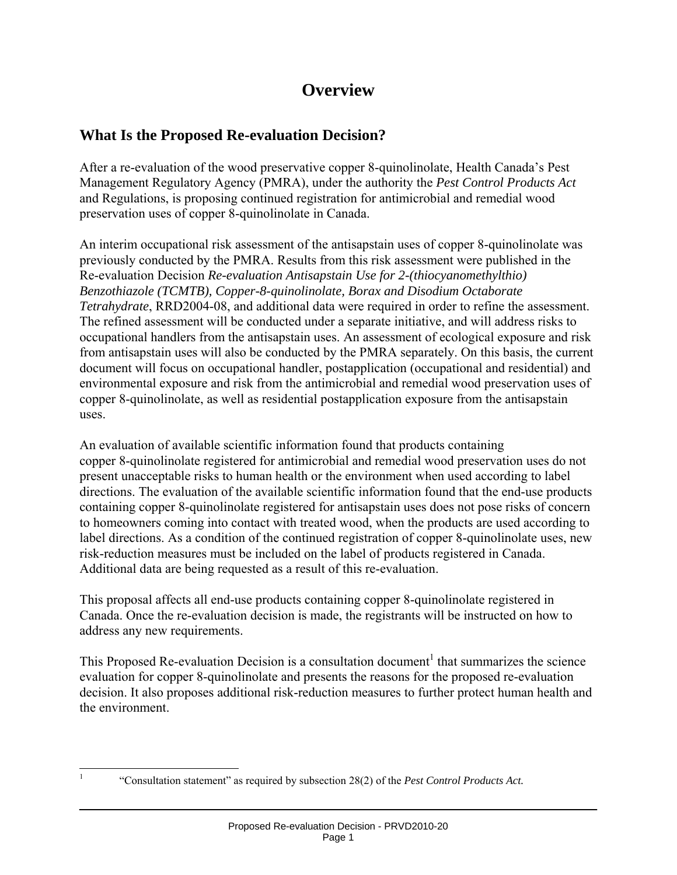# **Overview**

# **What Is the Proposed Re-evaluation Decision?**

After a re-evaluation of the wood preservative copper 8-quinolinolate, Health Canada's Pest Management Regulatory Agency (PMRA), under the authority the *Pest Control Products Act* and Regulations, is proposing continued registration for antimicrobial and remedial wood preservation uses of copper 8-quinolinolate in Canada.

An interim occupational risk assessment of the antisapstain uses of copper 8-quinolinolate was previously conducted by the PMRA. Results from this risk assessment were published in the Re-evaluation Decision *Re-evaluation Antisapstain Use for 2-(thiocyanomethylthio) Benzothiazole (TCMTB), Copper-8-quinolinolate, Borax and Disodium Octaborate Tetrahydrate*, RRD2004-08, and additional data were required in order to refine the assessment. The refined assessment will be conducted under a separate initiative, and will address risks to occupational handlers from the antisapstain uses. An assessment of ecological exposure and risk from antisapstain uses will also be conducted by the PMRA separately. On this basis, the current document will focus on occupational handler, postapplication (occupational and residential) and environmental exposure and risk from the antimicrobial and remedial wood preservation uses of copper 8-quinolinolate, as well as residential postapplication exposure from the antisapstain uses.

An evaluation of available scientific information found that products containing copper 8-quinolinolate registered for antimicrobial and remedial wood preservation uses do not present unacceptable risks to human health or the environment when used according to label directions. The evaluation of the available scientific information found that the end-use products containing copper 8-quinolinolate registered for antisapstain uses does not pose risks of concern to homeowners coming into contact with treated wood, when the products are used according to label directions. As a condition of the continued registration of copper 8-quinolinolate uses, new risk-reduction measures must be included on the label of products registered in Canada. Additional data are being requested as a result of this re-evaluation.

This proposal affects all end-use products containing copper 8-quinolinolate registered in Canada. Once the re-evaluation decision is made, the registrants will be instructed on how to address any new requirements.

This Proposed Re-evaluation Decision is a consultation document<sup>1</sup> that summarizes the science evaluation for copper 8-quinolinolate and presents the reasons for the proposed re-evaluation decision. It also proposes additional risk-reduction measures to further protect human health and the environment.

 $\overline{a}$ 1

 <sup>&</sup>quot;Consultation statement" as required by subsection 28(2) of the *Pest Control Products Act.*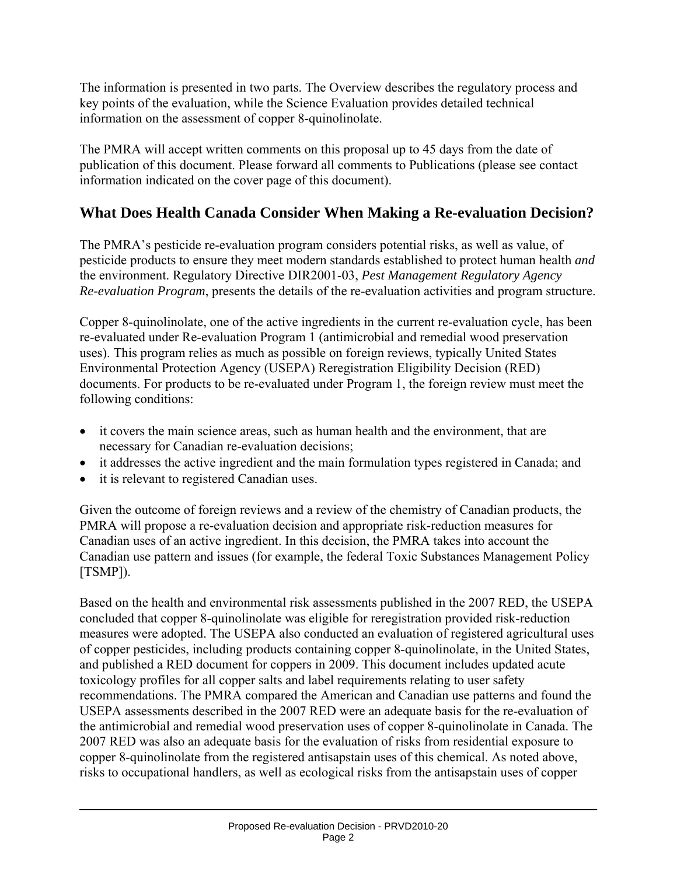The information is presented in two parts. The Overview describes the regulatory process and key points of the evaluation, while the Science Evaluation provides detailed technical information on the assessment of copper 8-quinolinolate.

The PMRA will accept written comments on this proposal up to 45 days from the date of publication of this document. Please forward all comments to Publications (please see contact information indicated on the cover page of this document).

# **What Does Health Canada Consider When Making a Re-evaluation Decision?**

The PMRA's pesticide re-evaluation program considers potential risks, as well as value, of pesticide products to ensure they meet modern standards established to protect human health *and*  the environment. Regulatory Directive DIR2001-03, *Pest Management Regulatory Agency Re-evaluation Program*, presents the details of the re-evaluation activities and program structure.

Copper 8-quinolinolate, one of the active ingredients in the current re-evaluation cycle, has been re-evaluated under Re-evaluation Program 1 (antimicrobial and remedial wood preservation uses). This program relies as much as possible on foreign reviews, typically United States Environmental Protection Agency (USEPA) Reregistration Eligibility Decision (RED) documents. For products to be re-evaluated under Program 1, the foreign review must meet the following conditions:

- it covers the main science areas, such as human health and the environment, that are necessary for Canadian re-evaluation decisions;
- it addresses the active ingredient and the main formulation types registered in Canada; and
- it is relevant to registered Canadian uses.

Given the outcome of foreign reviews and a review of the chemistry of Canadian products, the PMRA will propose a re-evaluation decision and appropriate risk-reduction measures for Canadian uses of an active ingredient. In this decision, the PMRA takes into account the Canadian use pattern and issues (for example, the federal Toxic Substances Management Policy [TSMP]).

Based on the health and environmental risk assessments published in the 2007 RED, the USEPA concluded that copper 8-quinolinolate was eligible for reregistration provided risk-reduction measures were adopted. The USEPA also conducted an evaluation of registered agricultural uses of copper pesticides, including products containing copper 8-quinolinolate, in the United States, and published a RED document for coppers in 2009. This document includes updated acute toxicology profiles for all copper salts and label requirements relating to user safety recommendations. The PMRA compared the American and Canadian use patterns and found the USEPA assessments described in the 2007 RED were an adequate basis for the re-evaluation of the antimicrobial and remedial wood preservation uses of copper 8-quinolinolate in Canada. The 2007 RED was also an adequate basis for the evaluation of risks from residential exposure to copper 8-quinolinolate from the registered antisapstain uses of this chemical. As noted above, risks to occupational handlers, as well as ecological risks from the antisapstain uses of copper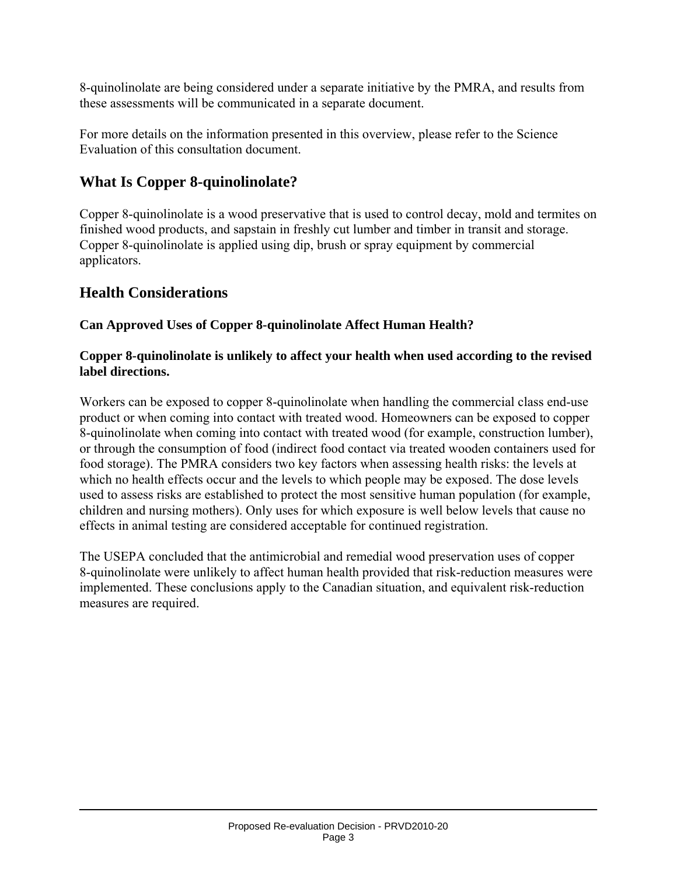8-quinolinolate are being considered under a separate initiative by the PMRA, and results from these assessments will be communicated in a separate document.

For more details on the information presented in this overview, please refer to the Science Evaluation of this consultation document.

# **What Is Copper 8-quinolinolate?**

Copper 8-quinolinolate is a wood preservative that is used to control decay, mold and termites on finished wood products, and sapstain in freshly cut lumber and timber in transit and storage. Copper 8-quinolinolate is applied using dip, brush or spray equipment by commercial applicators.

# **Health Considerations**

## **Can Approved Uses of Copper 8-quinolinolate Affect Human Health?**

#### **Copper 8-quinolinolate is unlikely to affect your health when used according to the revised label directions.**

Workers can be exposed to copper 8-quinolinolate when handling the commercial class end-use product or when coming into contact with treated wood. Homeowners can be exposed to copper 8-quinolinolate when coming into contact with treated wood (for example, construction lumber), or through the consumption of food (indirect food contact via treated wooden containers used for food storage). The PMRA considers two key factors when assessing health risks: the levels at which no health effects occur and the levels to which people may be exposed. The dose levels used to assess risks are established to protect the most sensitive human population (for example, children and nursing mothers). Only uses for which exposure is well below levels that cause no effects in animal testing are considered acceptable for continued registration.

The USEPA concluded that the antimicrobial and remedial wood preservation uses of copper 8-quinolinolate were unlikely to affect human health provided that risk-reduction measures were implemented. These conclusions apply to the Canadian situation, and equivalent risk-reduction measures are required.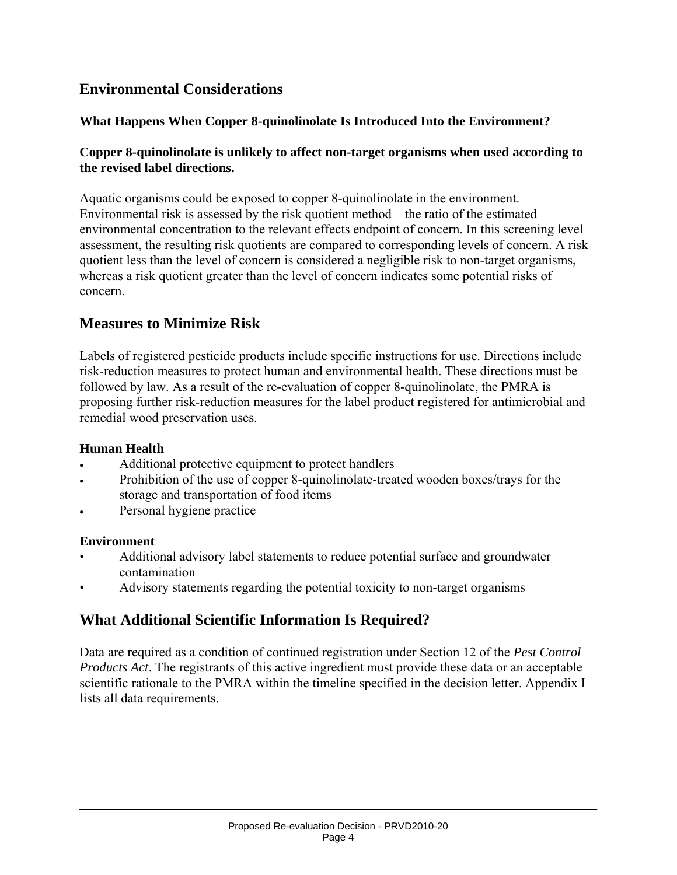# **Environmental Considerations**

#### **What Happens When Copper 8-quinolinolate Is Introduced Into the Environment?**

#### **Copper 8-quinolinolate is unlikely to affect non-target organisms when used according to the revised label directions.**

Aquatic organisms could be exposed to copper 8-quinolinolate in the environment. Environmental risk is assessed by the risk quotient method—the ratio of the estimated environmental concentration to the relevant effects endpoint of concern. In this screening level assessment, the resulting risk quotients are compared to corresponding levels of concern. A risk quotient less than the level of concern is considered a negligible risk to non-target organisms, whereas a risk quotient greater than the level of concern indicates some potential risks of concern.

# **Measures to Minimize Risk**

Labels of registered pesticide products include specific instructions for use. Directions include risk-reduction measures to protect human and environmental health. These directions must be followed by law. As a result of the re-evaluation of copper 8-quinolinolate, the PMRA is proposing further risk-reduction measures for the label product registered for antimicrobial and remedial wood preservation uses.

#### **Human Health**

- Additional protective equipment to protect handlers
- Prohibition of the use of copper 8-quinolinolate-treated wooden boxes/trays for the storage and transportation of food items
- Personal hygiene practice

#### **Environment**

- Additional advisory label statements to reduce potential surface and groundwater contamination
- Advisory statements regarding the potential toxicity to non-target organisms

# **What Additional Scientific Information Is Required?**

Data are required as a condition of continued registration under Section 12 of the *Pest Control Products Act*. The registrants of this active ingredient must provide these data or an acceptable scientific rationale to the PMRA within the timeline specified in the decision letter. Appendix I lists all data requirements.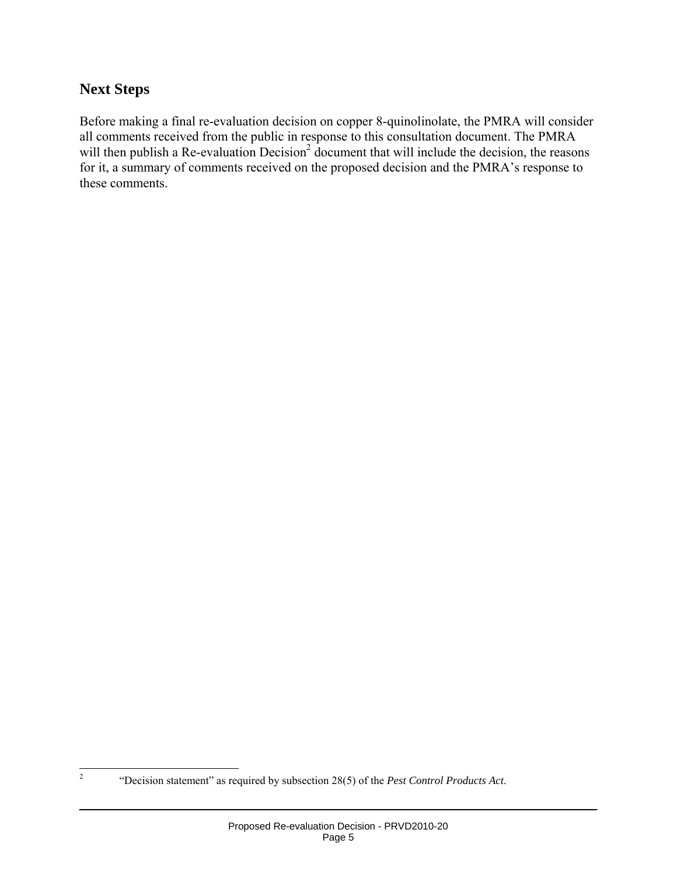# **Next Steps**

Before making a final re-evaluation decision on copper 8-quinolinolate, the PMRA will consider all comments received from the public in response to this consultation document. The PMRA will then publish a Re-evaluation Decision<sup>2</sup> document that will include the decision, the reasons for it, a summary of comments received on the proposed decision and the PMRA's response to these comments.

 $\frac{1}{2}$ 

 <sup>&</sup>quot;Decision statement" as required by subsection 28(5) of the *Pest Control Products Act*.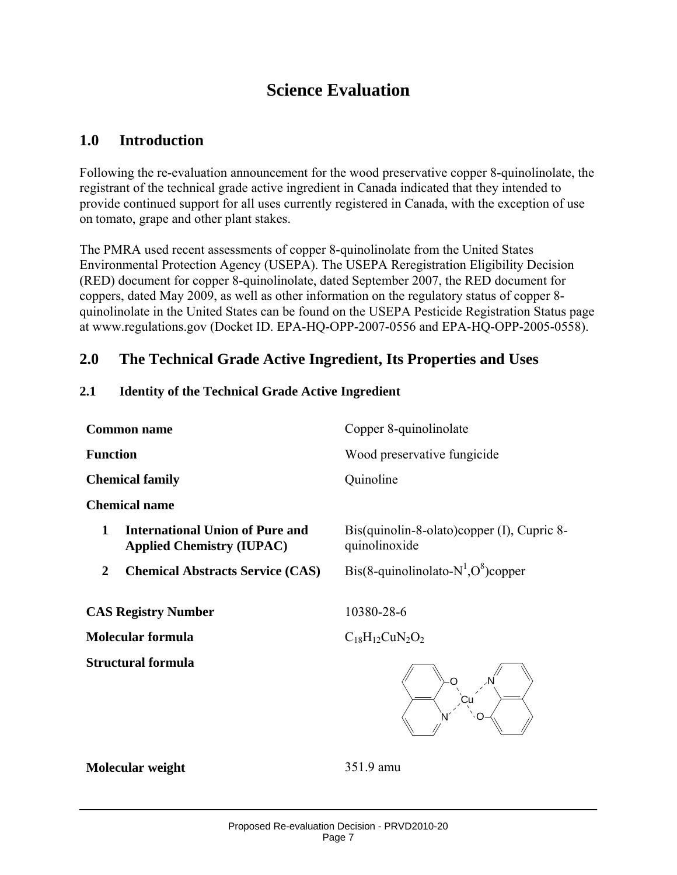# **Science Evaluation**

# **1.0 Introduction**

Following the re-evaluation announcement for the wood preservative copper 8-quinolinolate, the registrant of the technical grade active ingredient in Canada indicated that they intended to provide continued support for all uses currently registered in Canada, with the exception of use on tomato, grape and other plant stakes.

The PMRA used recent assessments of copper 8-quinolinolate from the United States Environmental Protection Agency (USEPA). The USEPA Reregistration Eligibility Decision (RED) document for copper 8-quinolinolate, dated September 2007, the RED document for coppers, dated May 2009, as well as other information on the regulatory status of copper 8 quinolinolate in the United States can be found on the USEPA Pesticide Registration Status page at www.regulations.gov (Docket ID. EPA-HQ-OPP-2007-0556 and EPA-HQ-OPP-2005-0558).

## **2.0 The Technical Grade Active Ingredient, Its Properties and Uses**

#### **2.1 Identity of the Technical Grade Active Ingredient**

| <b>Common name</b>                                                       | Copper 8-quinolinolate                                      |  |  |
|--------------------------------------------------------------------------|-------------------------------------------------------------|--|--|
| <b>Function</b>                                                          | Wood preservative fungicide                                 |  |  |
| <b>Chemical family</b>                                                   | Quinoline                                                   |  |  |
| <b>Chemical name</b>                                                     |                                                             |  |  |
| International Union of Pure and<br>1<br><b>Applied Chemistry (IUPAC)</b> | Bis(quinolin-8-olato)copper (I), Cupric 8-<br>quinolinoxide |  |  |
| <b>Chemical Abstracts Service (CAS)</b><br>2                             | Bis(8-quinolinolato- $N^1, O^8$ )copper                     |  |  |
| <b>CAS Registry Number</b>                                               | 10380-28-6                                                  |  |  |
| Molecular formula                                                        | $C_{18}H_{12}CuN_2O_2$                                      |  |  |
| <b>Structural formula</b>                                                |                                                             |  |  |



**Molecular weight** 351.9 amu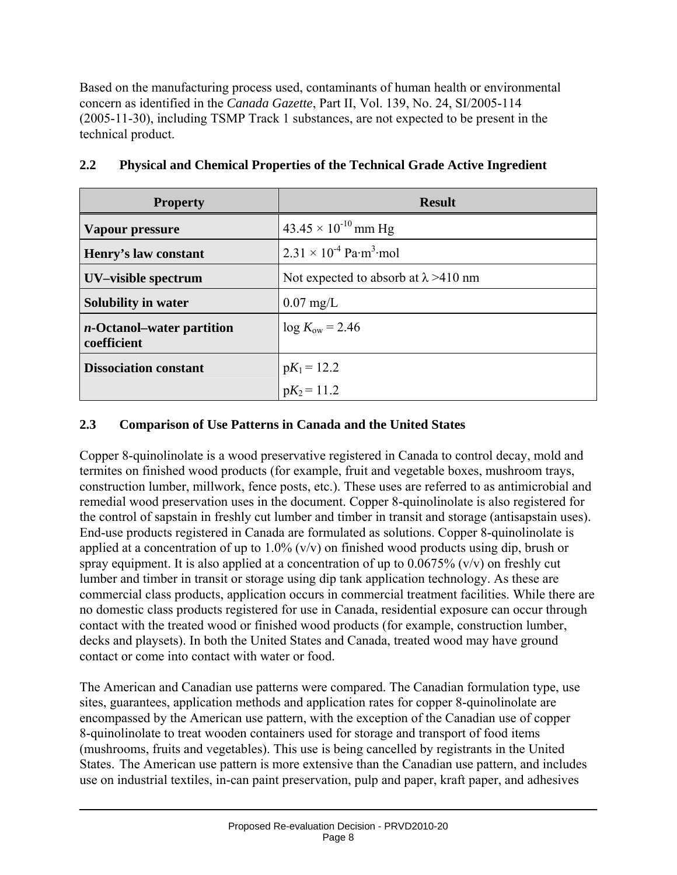Based on the manufacturing process used, contaminants of human health or environmental concern as identified in the *Canada Gazette*, Part II, Vol. 139, No. 24, SI/2005-114 (2005-11-30), including TSMP Track 1 substances, are not expected to be present in the technical product.

| <b>Property</b>                                  | <b>Result</b>                                               |
|--------------------------------------------------|-------------------------------------------------------------|
| Vapour pressure                                  | $43.45 \times 10^{-10}$ mm Hg                               |
| Henry's law constant                             | $2.31 \times 10^{-4}$ Pa $\cdot$ m <sup>3</sup> $\cdot$ mol |
| UV-visible spectrum                              | Not expected to absorb at $\lambda$ >410 nm                 |
| <b>Solubility in water</b>                       | $0.07$ mg/L                                                 |
| <i>n</i> -Octanol–water partition<br>coefficient | $\log K_{\rm ow} = 2.46$                                    |
| <b>Dissociation constant</b>                     | $pK_1 = 12.2$                                               |
|                                                  | $pK_2 = 11.2$                                               |

#### **2.2 Physical and Chemical Properties of the Technical Grade Active Ingredient**

#### **2.3 Comparison of Use Patterns in Canada and the United States**

Copper 8-quinolinolate is a wood preservative registered in Canada to control decay, mold and termites on finished wood products (for example, fruit and vegetable boxes, mushroom trays, construction lumber, millwork, fence posts, etc.). These uses are referred to as antimicrobial and remedial wood preservation uses in the document. Copper 8-quinolinolate is also registered for the control of sapstain in freshly cut lumber and timber in transit and storage (antisapstain uses). End-use products registered in Canada are formulated as solutions. Copper 8-quinolinolate is applied at a concentration of up to  $1.0\%$  (v/v) on finished wood products using dip, brush or spray equipment. It is also applied at a concentration of up to  $0.0675\%$  (v/v) on freshly cut lumber and timber in transit or storage using dip tank application technology. As these are commercial class products, application occurs in commercial treatment facilities. While there are no domestic class products registered for use in Canada, residential exposure can occur through contact with the treated wood or finished wood products (for example, construction lumber, decks and playsets). In both the United States and Canada, treated wood may have ground contact or come into contact with water or food.

The American and Canadian use patterns were compared. The Canadian formulation type, use sites, guarantees, application methods and application rates for copper 8-quinolinolate are encompassed by the American use pattern, with the exception of the Canadian use of copper 8-quinolinolate to treat wooden containers used for storage and transport of food items (mushrooms, fruits and vegetables). This use is being cancelled by registrants in the United States. The American use pattern is more extensive than the Canadian use pattern, and includes use on industrial textiles, in-can paint preservation, pulp and paper, kraft paper, and adhesives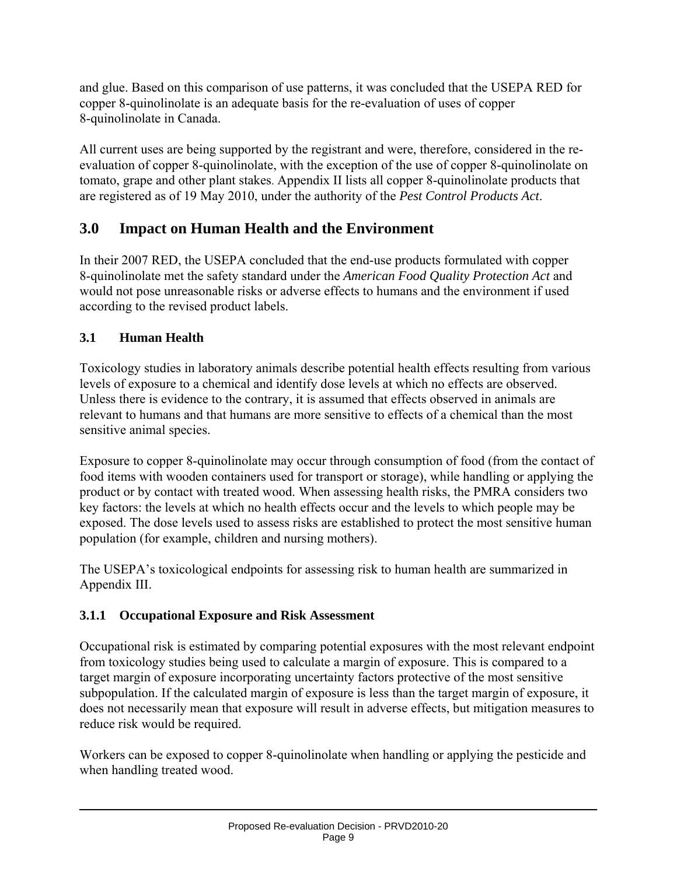and glue. Based on this comparison of use patterns, it was concluded that the USEPA RED for copper 8-quinolinolate is an adequate basis for the re-evaluation of uses of copper 8-quinolinolate in Canada.

All current uses are being supported by the registrant and were, therefore, considered in the reevaluation of copper 8-quinolinolate, with the exception of the use of copper 8-quinolinolate on tomato, grape and other plant stakes. Appendix II lists all copper 8-quinolinolate products that are registered as of 19 May 2010, under the authority of the *Pest Control Products Act*.

# **3.0 Impact on Human Health and the Environment**

In their 2007 RED, the USEPA concluded that the end-use products formulated with copper 8-quinolinolate met the safety standard under the *American Food Quality Protection Act* and would not pose unreasonable risks or adverse effects to humans and the environment if used according to the revised product labels.

## **3.1 Human Health**

Toxicology studies in laboratory animals describe potential health effects resulting from various levels of exposure to a chemical and identify dose levels at which no effects are observed. Unless there is evidence to the contrary, it is assumed that effects observed in animals are relevant to humans and that humans are more sensitive to effects of a chemical than the most sensitive animal species.

Exposure to copper 8-quinolinolate may occur through consumption of food (from the contact of food items with wooden containers used for transport or storage), while handling or applying the product or by contact with treated wood. When assessing health risks, the PMRA considers two key factors: the levels at which no health effects occur and the levels to which people may be exposed. The dose levels used to assess risks are established to protect the most sensitive human population (for example, children and nursing mothers).

The USEPA's toxicological endpoints for assessing risk to human health are summarized in Appendix III.

## **3.1.1 Occupational Exposure and Risk Assessment**

Occupational risk is estimated by comparing potential exposures with the most relevant endpoint from toxicology studies being used to calculate a margin of exposure. This is compared to a target margin of exposure incorporating uncertainty factors protective of the most sensitive subpopulation. If the calculated margin of exposure is less than the target margin of exposure, it does not necessarily mean that exposure will result in adverse effects, but mitigation measures to reduce risk would be required.

Workers can be exposed to copper 8-quinolinolate when handling or applying the pesticide and when handling treated wood.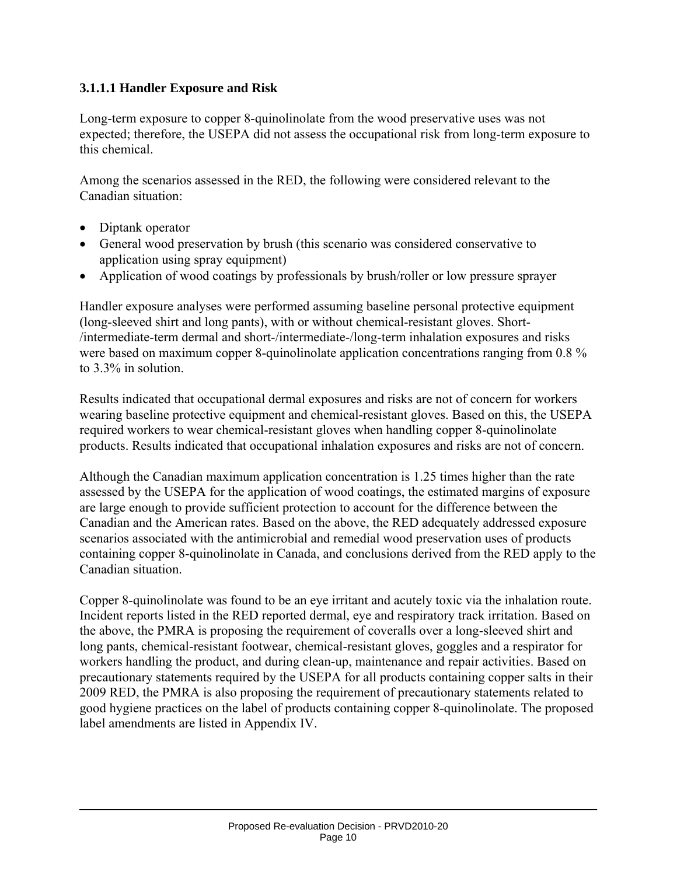#### **3.1.1.1 Handler Exposure and Risk**

Long-term exposure to copper 8-quinolinolate from the wood preservative uses was not expected; therefore, the USEPA did not assess the occupational risk from long-term exposure to this chemical.

Among the scenarios assessed in the RED, the following were considered relevant to the Canadian situation:

- Diptank operator
- General wood preservation by brush (this scenario was considered conservative to application using spray equipment)
- Application of wood coatings by professionals by brush/roller or low pressure sprayer

Handler exposure analyses were performed assuming baseline personal protective equipment (long-sleeved shirt and long pants), with or without chemical-resistant gloves. Short- /intermediate-term dermal and short-/intermediate-/long-term inhalation exposures and risks were based on maximum copper 8-quinolinolate application concentrations ranging from 0.8 % to 3.3% in solution.

Results indicated that occupational dermal exposures and risks are not of concern for workers wearing baseline protective equipment and chemical-resistant gloves. Based on this, the USEPA required workers to wear chemical-resistant gloves when handling copper 8-quinolinolate products. Results indicated that occupational inhalation exposures and risks are not of concern.

Although the Canadian maximum application concentration is 1.25 times higher than the rate assessed by the USEPA for the application of wood coatings, the estimated margins of exposure are large enough to provide sufficient protection to account for the difference between the Canadian and the American rates. Based on the above, the RED adequately addressed exposure scenarios associated with the antimicrobial and remedial wood preservation uses of products containing copper 8-quinolinolate in Canada, and conclusions derived from the RED apply to the Canadian situation.

Copper 8-quinolinolate was found to be an eye irritant and acutely toxic via the inhalation route. Incident reports listed in the RED reported dermal, eye and respiratory track irritation. Based on the above, the PMRA is proposing the requirement of coveralls over a long-sleeved shirt and long pants, chemical-resistant footwear, chemical-resistant gloves, goggles and a respirator for workers handling the product, and during clean-up, maintenance and repair activities. Based on precautionary statements required by the USEPA for all products containing copper salts in their 2009 RED, the PMRA is also proposing the requirement of precautionary statements related to good hygiene practices on the label of products containing copper 8-quinolinolate. The proposed label amendments are listed in Appendix IV.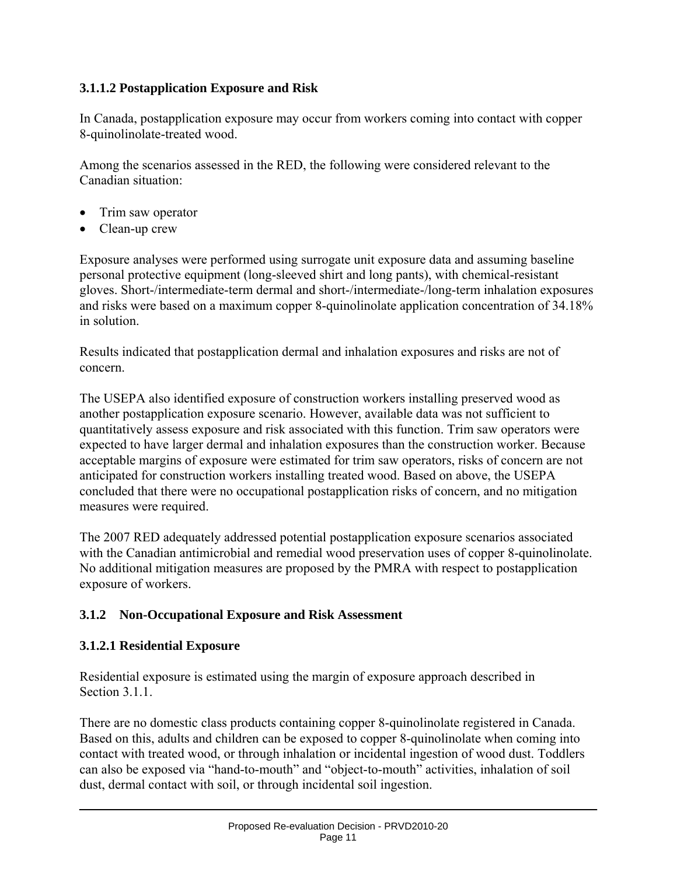#### **3.1.1.2 Postapplication Exposure and Risk**

In Canada, postapplication exposure may occur from workers coming into contact with copper 8-quinolinolate-treated wood.

Among the scenarios assessed in the RED, the following were considered relevant to the Canadian situation:

- Trim saw operator
- Clean-up crew

Exposure analyses were performed using surrogate unit exposure data and assuming baseline personal protective equipment (long-sleeved shirt and long pants), with chemical-resistant gloves. Short-/intermediate-term dermal and short-/intermediate-/long-term inhalation exposures and risks were based on a maximum copper 8-quinolinolate application concentration of 34.18% in solution.

Results indicated that postapplication dermal and inhalation exposures and risks are not of concern.

The USEPA also identified exposure of construction workers installing preserved wood as another postapplication exposure scenario. However, available data was not sufficient to quantitatively assess exposure and risk associated with this function. Trim saw operators were expected to have larger dermal and inhalation exposures than the construction worker. Because acceptable margins of exposure were estimated for trim saw operators, risks of concern are not anticipated for construction workers installing treated wood. Based on above, the USEPA concluded that there were no occupational postapplication risks of concern, and no mitigation measures were required.

The 2007 RED adequately addressed potential postapplication exposure scenarios associated with the Canadian antimicrobial and remedial wood preservation uses of copper 8-quinolinolate. No additional mitigation measures are proposed by the PMRA with respect to postapplication exposure of workers.

#### **3.1.2 Non-Occupational Exposure and Risk Assessment**

#### **3.1.2.1 Residential Exposure**

Residential exposure is estimated using the margin of exposure approach described in Section 3.1.1.

There are no domestic class products containing copper 8-quinolinolate registered in Canada. Based on this, adults and children can be exposed to copper 8-quinolinolate when coming into contact with treated wood, or through inhalation or incidental ingestion of wood dust. Toddlers can also be exposed via "hand-to-mouth" and "object-to-mouth" activities, inhalation of soil dust, dermal contact with soil, or through incidental soil ingestion.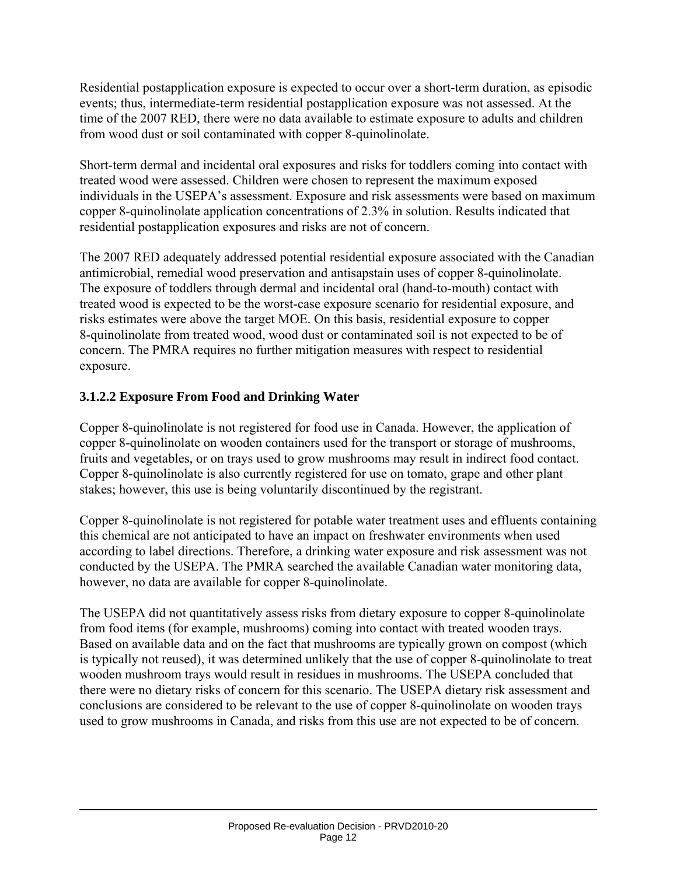Residential postapplication exposure is expected to occur over a short-term duration, as episodic events; thus, intermediate-term residential postapplication exposure was not assessed. At the time of the 2007 RED, there were no data available to estimate exposure to adults and children from wood dust or soil contaminated with copper 8-quinolinolate.

Short-term dermal and incidental oral exposures and risks for toddlers coming into contact with treated wood were assessed. Children were chosen to represent the maximum exposed individuals in the USEPA's assessment. Exposure and risk assessments were based on maximum copper 8-quinolinolate application concentrations of 2.3% in solution. Results indicated that residential postapplication exposures and risks are not of concern.

The 2007 RED adequately addressed potential residential exposure associated with the Canadian antimicrobial, remedial wood preservation and antisapstain uses of copper 8-quinolinolate. The exposure of toddlers through dermal and incidental oral (hand-to-mouth) contact with treated wood is expected to be the worst-case exposure scenario for residential exposure, and risks estimates were above the target MOE. On this basis, residential exposure to copper 8-quinolinolate from treated wood, wood dust or contaminated soil is not expected to be of concern. The PMRA requires no further mitigation measures with respect to residential exposure.

#### **3.1.2.2 Exposure From Food and Drinking Water**

Copper 8-quinolinolate is not registered for food use in Canada. However, the application of copper 8-quinolinolate on wooden containers used for the transport or storage of mushrooms, fruits and vegetables, or on trays used to grow mushrooms may result in indirect food contact. Copper 8-quinolinolate is also currently registered for use on tomato, grape and other plant stakes; however, this use is being voluntarily discontinued by the registrant.

Copper 8-quinolinolate is not registered for potable water treatment uses and effluents containing this chemical are not anticipated to have an impact on freshwater environments when used according to label directions. Therefore, a drinking water exposure and risk assessment was not conducted by the USEPA. The PMRA searched the available Canadian water monitoring data, however, no data are available for copper 8-quinolinolate.

The USEPA did not quantitatively assess risks from dietary exposure to copper 8-quinolinolate from food items (for example, mushrooms) coming into contact with treated wooden trays. Based on available data and on the fact that mushrooms are typically grown on compost (which is typically not reused), it was determined unlikely that the use of copper 8-quinolinolate to treat wooden mushroom trays would result in residues in mushrooms. The USEPA concluded that there were no dietary risks of concern for this scenario. The USEPA dietary risk assessment and conclusions are considered to be relevant to the use of copper 8-quinolinolate on wooden trays used to grow mushrooms in Canada, and risks from this use are not expected to be of concern.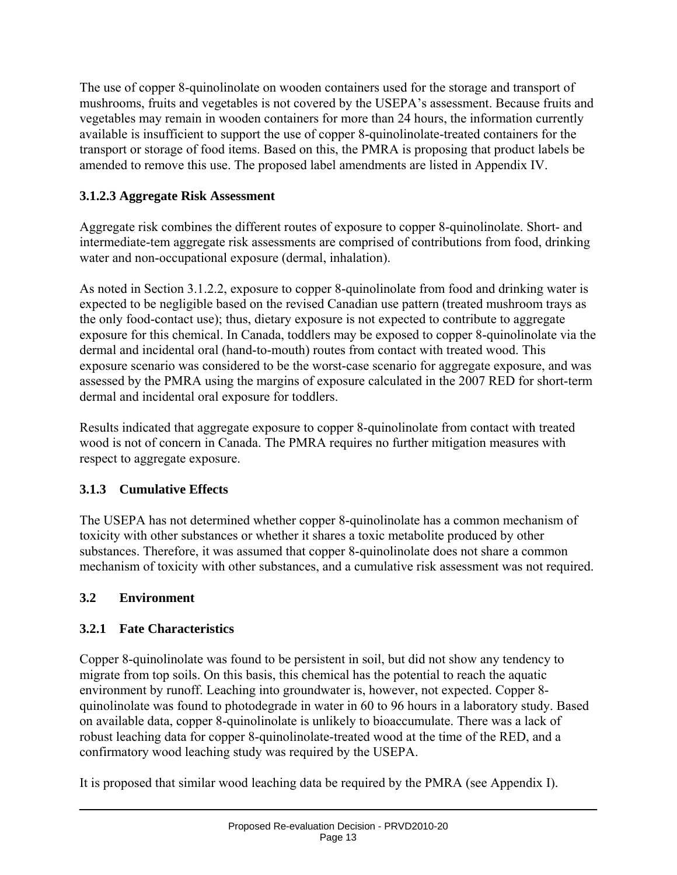The use of copper 8-quinolinolate on wooden containers used for the storage and transport of mushrooms, fruits and vegetables is not covered by the USEPA's assessment. Because fruits and vegetables may remain in wooden containers for more than 24 hours, the information currently available is insufficient to support the use of copper 8-quinolinolate-treated containers for the transport or storage of food items. Based on this, the PMRA is proposing that product labels be amended to remove this use. The proposed label amendments are listed in Appendix IV.

# **3.1.2.3 Aggregate Risk Assessment**

Aggregate risk combines the different routes of exposure to copper 8-quinolinolate. Short- and intermediate-tem aggregate risk assessments are comprised of contributions from food, drinking water and non-occupational exposure (dermal, inhalation).

As noted in Section 3.1.2.2, exposure to copper 8-quinolinolate from food and drinking water is expected to be negligible based on the revised Canadian use pattern (treated mushroom trays as the only food-contact use); thus, dietary exposure is not expected to contribute to aggregate exposure for this chemical. In Canada, toddlers may be exposed to copper 8-quinolinolate via the dermal and incidental oral (hand-to-mouth) routes from contact with treated wood. This exposure scenario was considered to be the worst-case scenario for aggregate exposure, and was assessed by the PMRA using the margins of exposure calculated in the 2007 RED for short-term dermal and incidental oral exposure for toddlers.

Results indicated that aggregate exposure to copper 8-quinolinolate from contact with treated wood is not of concern in Canada. The PMRA requires no further mitigation measures with respect to aggregate exposure.

# **3.1.3 Cumulative Effects**

The USEPA has not determined whether copper 8-quinolinolate has a common mechanism of toxicity with other substances or whether it shares a toxic metabolite produced by other substances. Therefore, it was assumed that copper 8-quinolinolate does not share a common mechanism of toxicity with other substances, and a cumulative risk assessment was not required.

# **3.2 Environment**

# **3.2.1 Fate Characteristics**

Copper 8-quinolinolate was found to be persistent in soil, but did not show any tendency to migrate from top soils. On this basis, this chemical has the potential to reach the aquatic environment by runoff. Leaching into groundwater is, however, not expected. Copper 8 quinolinolate was found to photodegrade in water in 60 to 96 hours in a laboratory study. Based on available data, copper 8-quinolinolate is unlikely to bioaccumulate. There was a lack of robust leaching data for copper 8-quinolinolate-treated wood at the time of the RED, and a confirmatory wood leaching study was required by the USEPA.

It is proposed that similar wood leaching data be required by the PMRA (see Appendix I).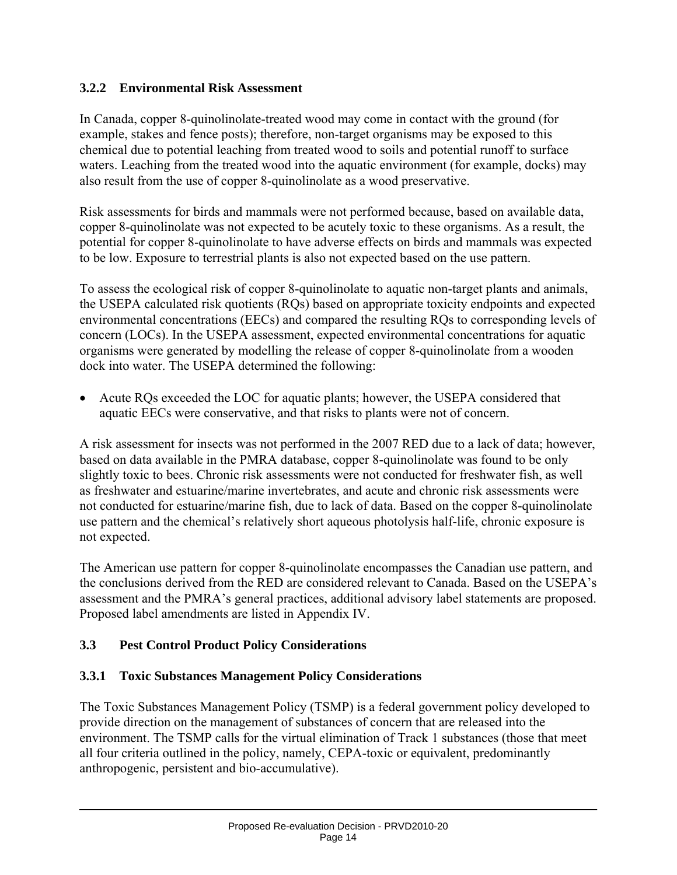#### **3.2.2 Environmental Risk Assessment**

In Canada, copper 8-quinolinolate-treated wood may come in contact with the ground (for example, stakes and fence posts); therefore, non-target organisms may be exposed to this chemical due to potential leaching from treated wood to soils and potential runoff to surface waters. Leaching from the treated wood into the aquatic environment (for example, docks) may also result from the use of copper 8-quinolinolate as a wood preservative.

Risk assessments for birds and mammals were not performed because, based on available data, copper 8-quinolinolate was not expected to be acutely toxic to these organisms. As a result, the potential for copper 8-quinolinolate to have adverse effects on birds and mammals was expected to be low. Exposure to terrestrial plants is also not expected based on the use pattern.

To assess the ecological risk of copper 8-quinolinolate to aquatic non-target plants and animals, the USEPA calculated risk quotients (RQs) based on appropriate toxicity endpoints and expected environmental concentrations (EECs) and compared the resulting RQs to corresponding levels of concern (LOCs). In the USEPA assessment, expected environmental concentrations for aquatic organisms were generated by modelling the release of copper 8-quinolinolate from a wooden dock into water. The USEPA determined the following:

• Acute RQs exceeded the LOC for aquatic plants; however, the USEPA considered that aquatic EECs were conservative, and that risks to plants were not of concern.

A risk assessment for insects was not performed in the 2007 RED due to a lack of data; however, based on data available in the PMRA database, copper 8-quinolinolate was found to be only slightly toxic to bees. Chronic risk assessments were not conducted for freshwater fish, as well as freshwater and estuarine/marine invertebrates, and acute and chronic risk assessments were not conducted for estuarine/marine fish, due to lack of data. Based on the copper 8-quinolinolate use pattern and the chemical's relatively short aqueous photolysis half-life, chronic exposure is not expected.

The American use pattern for copper 8-quinolinolate encompasses the Canadian use pattern, and the conclusions derived from the RED are considered relevant to Canada. Based on the USEPA's assessment and the PMRA's general practices, additional advisory label statements are proposed. Proposed label amendments are listed in Appendix IV.

#### **3.3 Pest Control Product Policy Considerations**

#### **3.3.1 Toxic Substances Management Policy Considerations**

The Toxic Substances Management Policy (TSMP) is a federal government policy developed to provide direction on the management of substances of concern that are released into the environment. The TSMP calls for the virtual elimination of Track 1 substances (those that meet all four criteria outlined in the policy, namely, CEPA-toxic or equivalent, predominantly anthropogenic, persistent and bio-accumulative).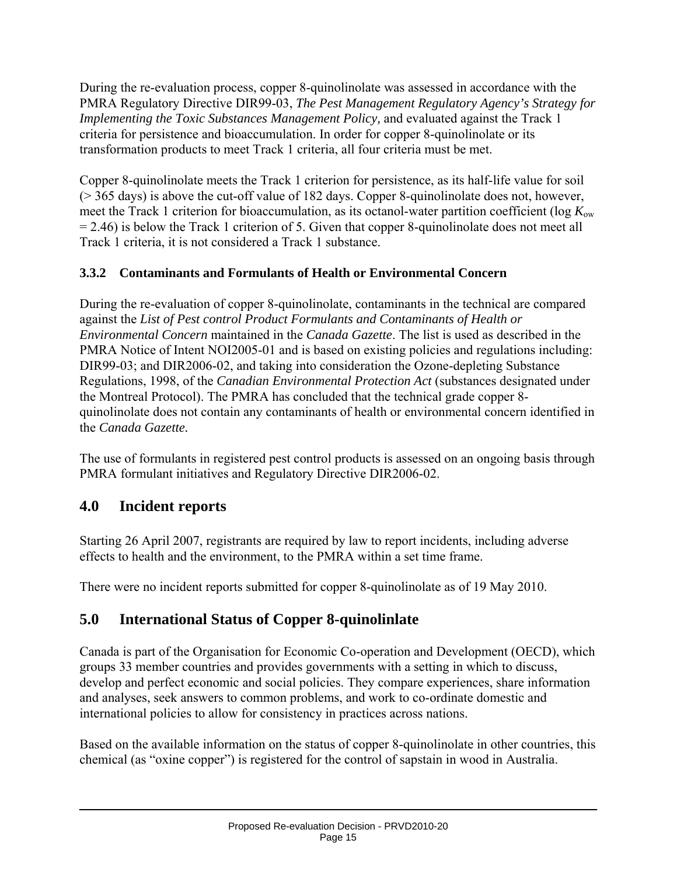During the re-evaluation process, copper 8-quinolinolate was assessed in accordance with the PMRA Regulatory Directive DIR99-03, *The Pest Management Regulatory Agency's Strategy for Implementing the Toxic Substances Management Policy,* and evaluated against the Track 1 criteria for persistence and bioaccumulation. In order for copper 8-quinolinolate or its transformation products to meet Track 1 criteria, all four criteria must be met.

Copper 8-quinolinolate meets the Track 1 criterion for persistence, as its half-life value for soil (> 365 days) is above the cut-off value of 182 days. Copper 8-quinolinolate does not, however, meet the Track 1 criterion for bioaccumulation, as its octanol-water partition coefficient (log *K*ow = 2.46) is below the Track 1 criterion of 5. Given that copper 8-quinolinolate does not meet all Track 1 criteria, it is not considered a Track 1 substance.

# **3.3.2 Contaminants and Formulants of Health or Environmental Concern**

During the re-evaluation of copper 8-quinolinolate, contaminants in the technical are compared against the *List of Pest control Product Formulants and Contaminants of Health or Environmental Concern* maintained in the *Canada Gazette*. The list is used as described in the PMRA Notice of Intent NOI2005-01 and is based on existing policies and regulations including: DIR99-03; and DIR2006-02, and taking into consideration the Ozone-depleting Substance Regulations, 1998, of the *Canadian Environmental Protection Act* (substances designated under the Montreal Protocol). The PMRA has concluded that the technical grade copper 8 quinolinolate does not contain any contaminants of health or environmental concern identified in the *Canada Gazette.*

The use of formulants in registered pest control products is assessed on an ongoing basis through PMRA formulant initiatives and Regulatory Directive DIR2006-02.

# **4.0 Incident reports**

Starting 26 April 2007, registrants are required by law to report incidents, including adverse effects to health and the environment, to the PMRA within a set time frame.

There were no incident reports submitted for copper 8-quinolinolate as of 19 May 2010.

# **5.0 International Status of Copper 8-quinolinlate**

Canada is part of the Organisation for Economic Co-operation and Development (OECD), which groups 33 member countries and provides governments with a setting in which to discuss, develop and perfect economic and social policies. They compare experiences, share information and analyses, seek answers to common problems, and work to co-ordinate domestic and international policies to allow for consistency in practices across nations.

Based on the available information on the status of copper 8-quinolinolate in other countries, this chemical (as "oxine copper") is registered for the control of sapstain in wood in Australia.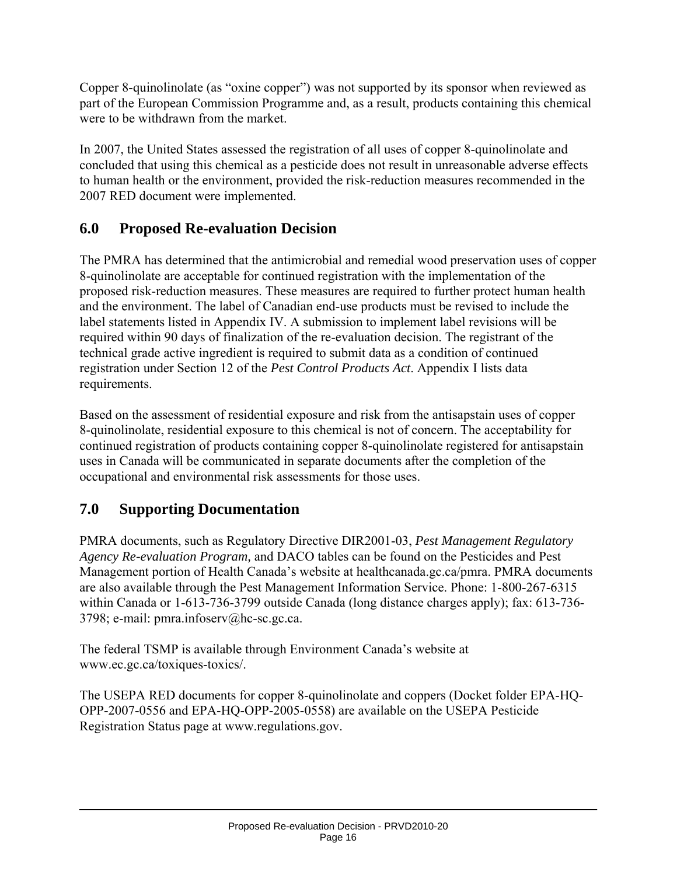Copper 8-quinolinolate (as "oxine copper") was not supported by its sponsor when reviewed as part of the European Commission Programme and, as a result, products containing this chemical were to be withdrawn from the market.

In 2007, the United States assessed the registration of all uses of copper 8-quinolinolate and concluded that using this chemical as a pesticide does not result in unreasonable adverse effects to human health or the environment, provided the risk-reduction measures recommended in the 2007 RED document were implemented.

# **6.0 Proposed Re-evaluation Decision**

The PMRA has determined that the antimicrobial and remedial wood preservation uses of copper 8-quinolinolate are acceptable for continued registration with the implementation of the proposed risk-reduction measures. These measures are required to further protect human health and the environment. The label of Canadian end-use products must be revised to include the label statements listed in Appendix IV. A submission to implement label revisions will be required within 90 days of finalization of the re-evaluation decision. The registrant of the technical grade active ingredient is required to submit data as a condition of continued registration under Section 12 of the *Pest Control Products Act*. Appendix I lists data requirements.

Based on the assessment of residential exposure and risk from the antisapstain uses of copper 8-quinolinolate, residential exposure to this chemical is not of concern. The acceptability for continued registration of products containing copper 8-quinolinolate registered for antisapstain uses in Canada will be communicated in separate documents after the completion of the occupational and environmental risk assessments for those uses.

# **7.0 Supporting Documentation**

PMRA documents, such as Regulatory Directive DIR2001-03, *Pest Management Regulatory Agency Re-evaluation Program,* and DACO tables can be found on the Pesticides and Pest Management portion of Health Canada's website at healthcanada.gc.ca/pmra. PMRA documents are also available through the Pest Management Information Service. Phone: 1-800-267-6315 within Canada or 1-613-736-3799 outside Canada (long distance charges apply); fax: 613-736- 3798; e-mail: pmra.infoserv@hc-sc.gc.ca.

The federal TSMP is available through Environment Canada's website at www.ec.gc.ca/toxiques-toxics/.

The USEPA RED documents for copper 8-quinolinolate and coppers (Docket folder EPA-HQ-OPP-2007-0556 and EPA-HQ-OPP-2005-0558) are available on the USEPA Pesticide Registration Status page at www.regulations.gov.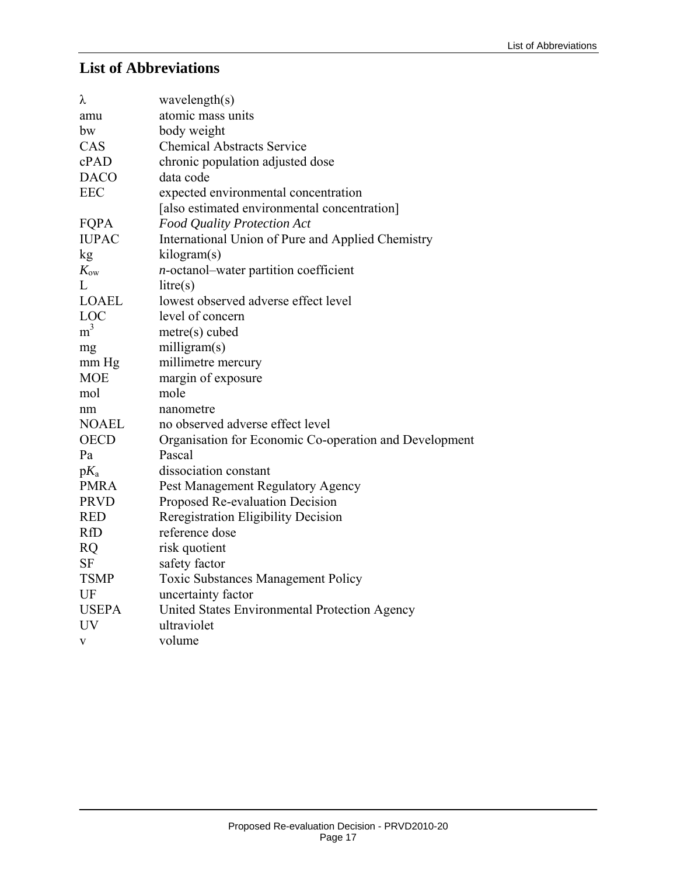#### **List of Abbreviations**

| wavelength(s)                                          |
|--------------------------------------------------------|
| atomic mass units                                      |
| body weight                                            |
| <b>Chemical Abstracts Service</b>                      |
| chronic population adjusted dose                       |
| data code                                              |
| expected environmental concentration                   |
| [also estimated environmental concentration]           |
| Food Quality Protection Act                            |
| International Union of Pure and Applied Chemistry      |
| kilogram(s)                                            |
| <i>n</i> -octanol-water partition coefficient          |
| litre(s)                                               |
| lowest observed adverse effect level                   |
| level of concern                                       |
| metre(s) cubed                                         |
| milligram(s)                                           |
| millimetre mercury                                     |
| margin of exposure                                     |
| mole                                                   |
| nanometre                                              |
| no observed adverse effect level                       |
| Organisation for Economic Co-operation and Development |
| Pascal                                                 |
| dissociation constant                                  |
| Pest Management Regulatory Agency                      |
| Proposed Re-evaluation Decision                        |
| Reregistration Eligibility Decision                    |
| reference dose                                         |
| risk quotient                                          |
| safety factor                                          |
| <b>Toxic Substances Management Policy</b>              |
| uncertainty factor                                     |
| United States Environmental Protection Agency          |
| ultraviolet                                            |
| volume                                                 |
|                                                        |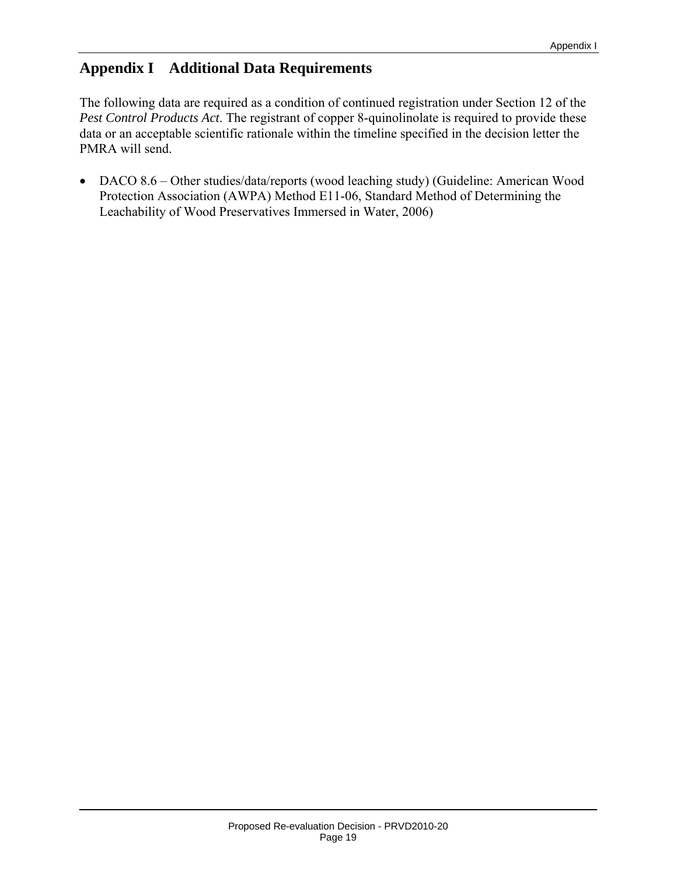# **Appendix I Additional Data Requirements**

The following data are required as a condition of continued registration under Section 12 of the *Pest Control Products Act*. The registrant of copper 8-quinolinolate is required to provide these data or an acceptable scientific rationale within the timeline specified in the decision letter the PMRA will send.

• DACO 8.6 – Other studies/data/reports (wood leaching study) (Guideline: American Wood Protection Association (AWPA) Method E11-06, Standard Method of Determining the Leachability of Wood Preservatives Immersed in Water, 2006)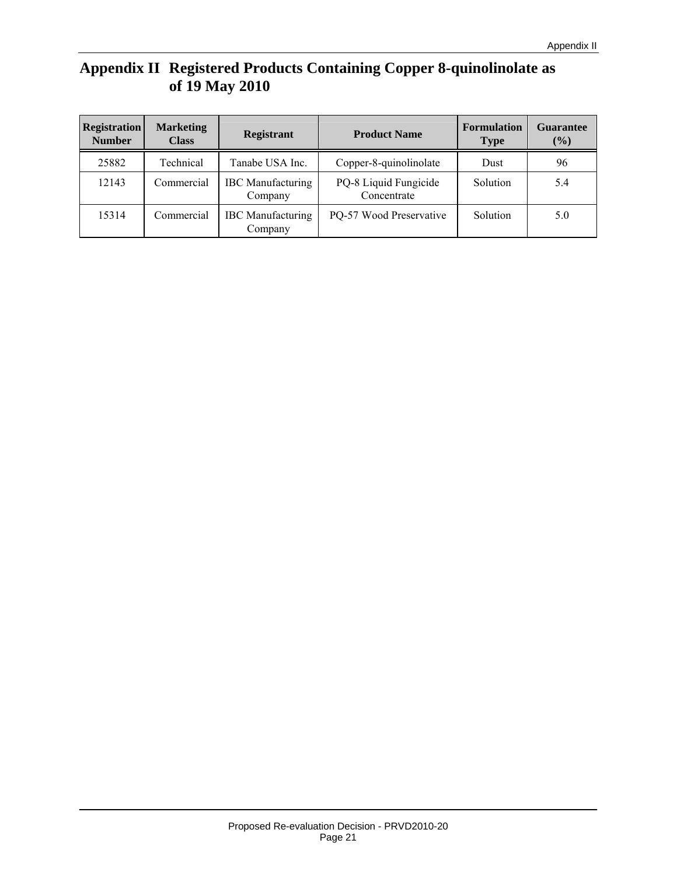# **Appendix II Registered Products Containing Copper 8-quinolinolate as of 19 May 2010**

| <b>Registration</b><br><b>Number</b> | <b>Marketing</b><br><b>Class</b> | <b>Registrant</b>                   | <b>Product Name</b>                  | <b>Formulation</b><br><b>Type</b> | Guarantee<br>$(\%)$ |
|--------------------------------------|----------------------------------|-------------------------------------|--------------------------------------|-----------------------------------|---------------------|
| 25882                                | Technical                        | Tanabe USA Inc.                     | Copper-8-quinolinolate               | Dust                              | 96                  |
| 12143                                | Commercial                       | <b>IBC</b> Manufacturing<br>Company | PQ-8 Liquid Fungicide<br>Concentrate | Solution                          | 5.4                 |
| 15314                                | Commercial                       | <b>IBC</b> Manufacturing<br>Company | PQ-57 Wood Preservative              | Solution                          | 5.0                 |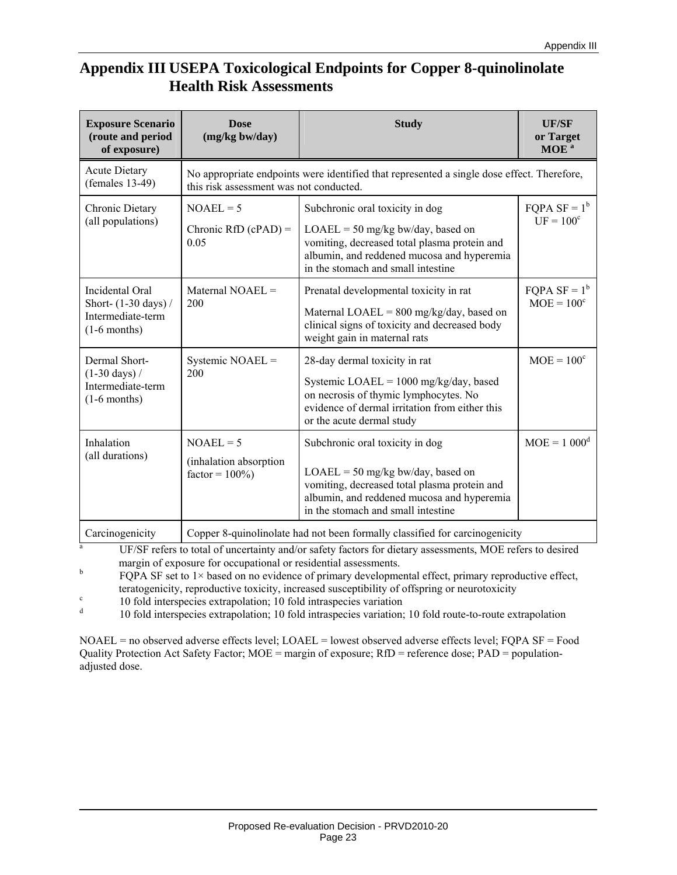# **Appendix III USEPA Toxicological Endpoints for Copper 8-quinolinolate Health Risk Assessments**

| <b>Exposure Scenario</b><br>(route and period<br>of exposure)                                             | <b>Dose</b><br>(mg/kg bw/day)                                                                                                         | <b>Study</b>                                                                                                                                                                                               | <b>UF/SF</b><br>or Target<br>MOE <sup>a</sup> |  |
|-----------------------------------------------------------------------------------------------------------|---------------------------------------------------------------------------------------------------------------------------------------|------------------------------------------------------------------------------------------------------------------------------------------------------------------------------------------------------------|-----------------------------------------------|--|
| <b>Acute Dietary</b><br>$( females 13-49)$                                                                | No appropriate endpoints were identified that represented a single dose effect. Therefore,<br>this risk assessment was not conducted. |                                                                                                                                                                                                            |                                               |  |
| Chronic Dietary<br>(all populations)                                                                      | $NOAEL = 5$<br>Chronic RfD $(cPAD) =$<br>0.05                                                                                         | Subchronic oral toxicity in dog<br>$LOAEL = 50$ mg/kg bw/day, based on<br>vomiting, decreased total plasma protein and<br>albumin, and reddened mucosa and hyperemia<br>in the stomach and small intestine | FQPA $SF = 1^b$<br>$UF = 100c$                |  |
| Incidental Oral<br>Short- (1-30 days) /<br>Intermediate-term<br>$(1-6$ months)                            | Maternal $NOAEL =$<br>200                                                                                                             | Prenatal developmental toxicity in rat<br>Maternal LOAEL = $800 \text{ mg/kg/day}$ , based on<br>clinical signs of toxicity and decreased body<br>weight gain in maternal rats                             | FQPA $SF = 1^b$<br>$MOE = 100^{\circ}$        |  |
| Dermal Short-<br>Systemic NOAEL =<br>$(1-30 \text{ days})/$<br>200<br>Intermediate-term<br>$(1-6$ months) |                                                                                                                                       | 28-day dermal toxicity in rat<br>Systemic LOAEL = $1000$ mg/kg/day, based<br>on necrosis of thymic lymphocytes. No<br>evidence of dermal irritation from either this<br>or the acute dermal study          | $MOE = 100^{\circ}$                           |  |
| Inhalation<br>(all durations)                                                                             | $NOAEL = 5$<br>(inhalation absorption)<br>$factor = 100\%)$                                                                           | Subchronic oral toxicity in dog<br>$LOAEL = 50$ mg/kg bw/day, based on<br>vomiting, decreased total plasma protein and<br>albumin, and reddened mucosa and hyperemia<br>in the stomach and small intestine | $MOE = 1000^d$                                |  |
| Carcinogenicity                                                                                           | Copper 8-quinolinolate had not been formally classified for carcinogenicity                                                           |                                                                                                                                                                                                            |                                               |  |

a UF/SF refers to total of uncertainty and/or safety factors for dietary assessments, MOE refers to desired margin of exposure for occupational or residential assessments.

b FQPA SF set to 1× based on no evidence of primary developmental effect, primary reproductive effect, teratogenicity, reproductive toxicity, increased susceptibility of offspring or neurotoxicity<br>c and fall integration and fall integration consistents of the constant of

10 fold interspecies extrapolation; 10 fold intraspecies variation

d 10 fold interspecies extrapolation; 10 fold intraspecies variation; 10 fold route-to-route extrapolation

NOAEL = no observed adverse effects level; LOAEL = lowest observed adverse effects level; FQPA SF = Food Quality Protection Act Safety Factor; MOE = margin of exposure; RfD = reference dose; PAD = populationadjusted dose.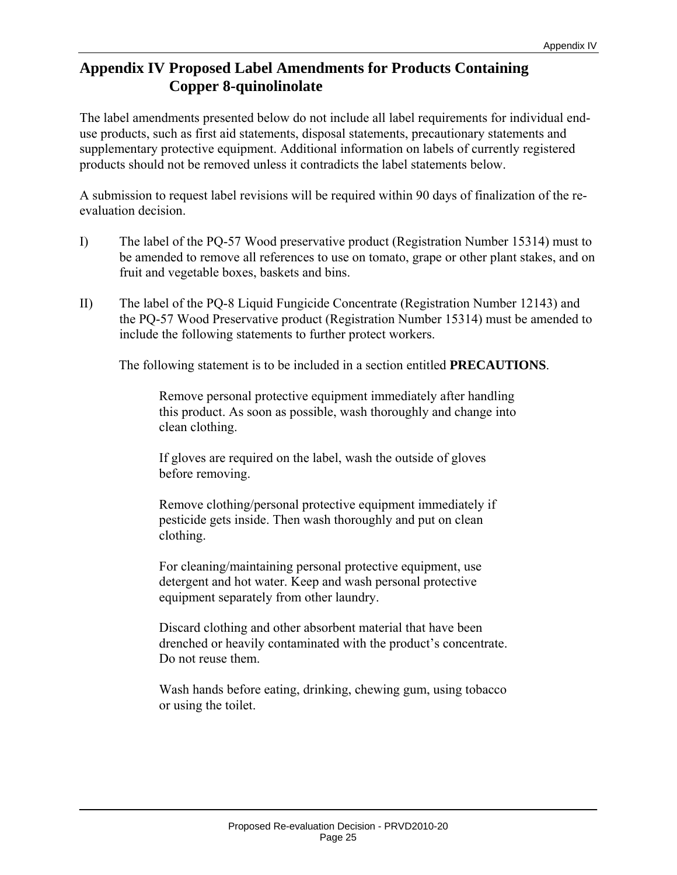# **Appendix IV Proposed Label Amendments for Products Containing Copper 8-quinolinolate**

The label amendments presented below do not include all label requirements for individual enduse products, such as first aid statements, disposal statements, precautionary statements and supplementary protective equipment. Additional information on labels of currently registered products should not be removed unless it contradicts the label statements below.

A submission to request label revisions will be required within 90 days of finalization of the reevaluation decision.

- I) The label of the PQ-57 Wood preservative product (Registration Number 15314) must to be amended to remove all references to use on tomato, grape or other plant stakes, and on fruit and vegetable boxes, baskets and bins.
- II) The label of the PQ-8 Liquid Fungicide Concentrate (Registration Number 12143) and the PQ-57 Wood Preservative product (Registration Number 15314) must be amended to include the following statements to further protect workers.

The following statement is to be included in a section entitled **PRECAUTIONS**.

Remove personal protective equipment immediately after handling this product. As soon as possible, wash thoroughly and change into clean clothing.

If gloves are required on the label, wash the outside of gloves before removing.

Remove clothing/personal protective equipment immediately if pesticide gets inside. Then wash thoroughly and put on clean clothing.

For cleaning/maintaining personal protective equipment, use detergent and hot water. Keep and wash personal protective equipment separately from other laundry.

Discard clothing and other absorbent material that have been drenched or heavily contaminated with the product's concentrate. Do not reuse them.

Wash hands before eating, drinking, chewing gum, using tobacco or using the toilet.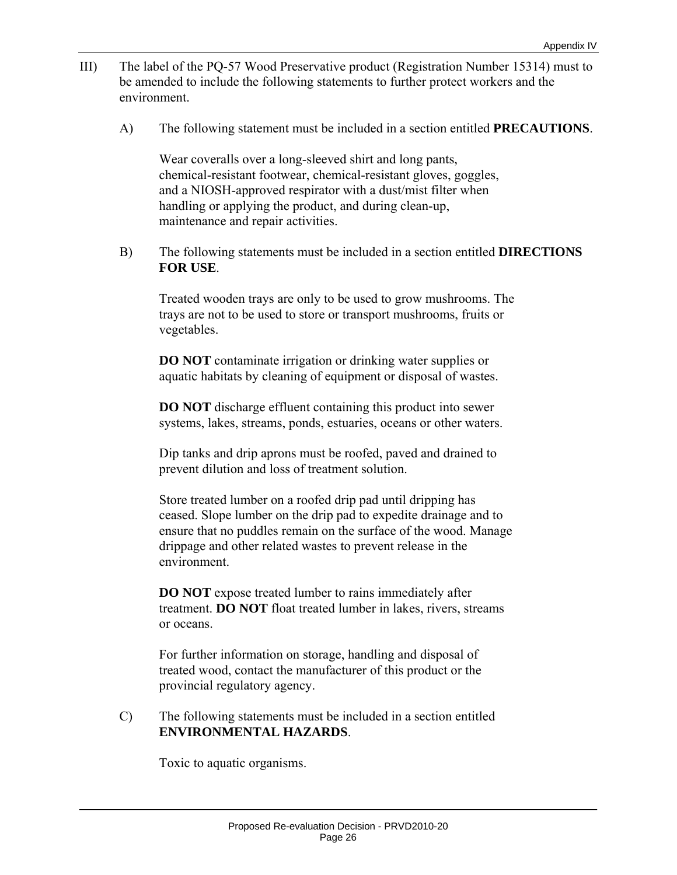- III) The label of the PQ-57 Wood Preservative product (Registration Number 15314) must to be amended to include the following statements to further protect workers and the environment.
	- A) The following statement must be included in a section entitled **PRECAUTIONS**.

Wear coveralls over a long-sleeved shirt and long pants, chemical-resistant footwear, chemical-resistant gloves, goggles, and a NIOSH-approved respirator with a dust/mist filter when handling or applying the product, and during clean-up, maintenance and repair activities.

 B) The following statements must be included in a section entitled **DIRECTIONS FOR USE**.

Treated wooden trays are only to be used to grow mushrooms. The trays are not to be used to store or transport mushrooms, fruits or vegetables.

**DO NOT** contaminate irrigation or drinking water supplies or aquatic habitats by cleaning of equipment or disposal of wastes.

**DO NOT** discharge effluent containing this product into sewer systems, lakes, streams, ponds, estuaries, oceans or other waters.

Dip tanks and drip aprons must be roofed, paved and drained to prevent dilution and loss of treatment solution.

Store treated lumber on a roofed drip pad until dripping has ceased. Slope lumber on the drip pad to expedite drainage and to ensure that no puddles remain on the surface of the wood. Manage drippage and other related wastes to prevent release in the environment.

**DO NOT** expose treated lumber to rains immediately after treatment. **DO NOT** float treated lumber in lakes, rivers, streams or oceans.

For further information on storage, handling and disposal of treated wood, contact the manufacturer of this product or the provincial regulatory agency.

 C) The following statements must be included in a section entitled **ENVIRONMENTAL HAZARDS**.

Toxic to aquatic organisms.